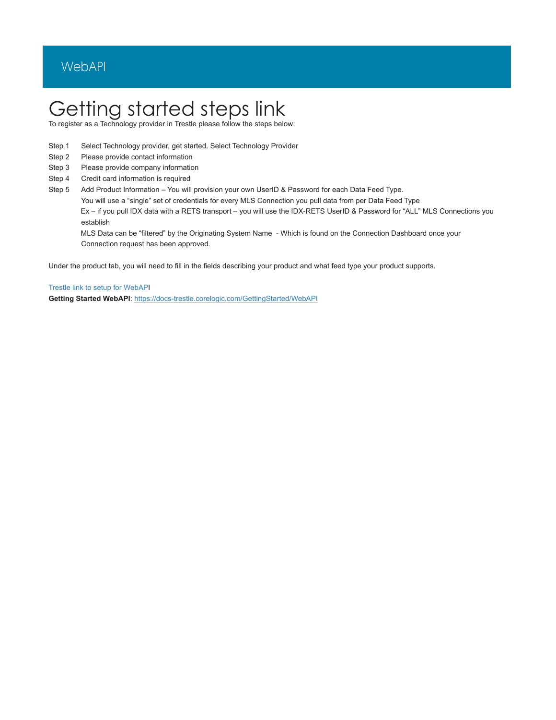### **WebAPI**

## Getting started steps link

To register as a Technology provider in Trestle please follow the steps below:

- Step 1 Select Technology provider, get started. Select Technology Provider
- examples of other community, providing government of other community, in the collection into the collection in<br>Step 2 Please provide contact information
- Step 3 Please provide company information<br>
Step 3 Please provide company information
- Step 4 Credit card information is required.<br>Step 4 Credit card information is required
- Step 5 Add Product Information You will provision your own UserID & Password for each Data Feed Type. Ex – if you pull IDX data with a RETS transport – you will use the IDX-RETS UserID & Password for "ALL" MLS Connections you You will use a "single" set of credentials for every MLS Connection you pull data from per Data Feed Type establish

MLS Data can be "filtered" by the Originating System Name - Which is found on the Connection Dashboard once your<br>-Connection request has been approved.

Under the product tab, you will need to fill in the fields describing your product and what feed type your product supports.

Trestle link to setup for WebAPI **Getting Started WebAPI**: https://docs-trestle.corelogic.com/GettingStarted/WebAPI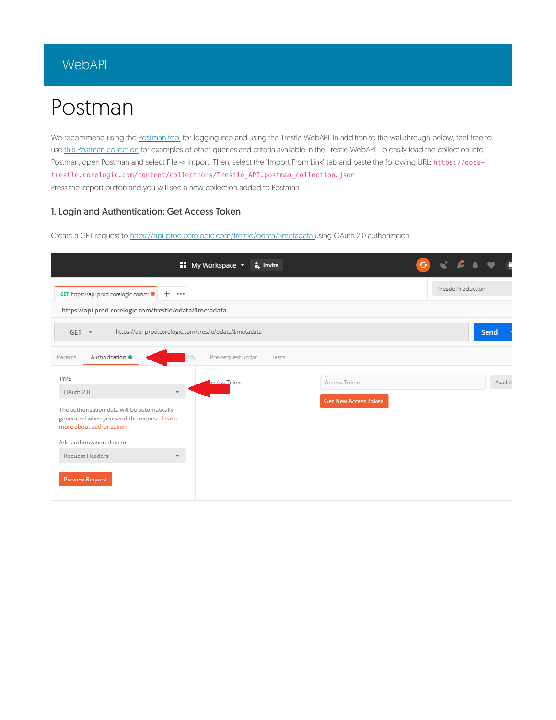### **WebAPI**

## Postman

We recommend using the Postman tool for logging into and using the Trestle WebAPI. In addition to the walkthrough below, feel free to use this Postman collection for examples of other queries and criteria available in the Trestle WebAPI. To easily load the collection into Postman, open Postman and select File -> Import. Then, select the "Import From Link" tab and paste the following URL: https://docstrestle.corelogic.com/content/collections/Trestle\_API.postman\_collection.json Press the import button and you will see a new collection added to Postman.

#### 1. Login and Authentication: Get Access Token

Create a GET request to https://api-prod.corelogic.com/trestle/odata/\$metadata using OAuth 2.0 authorization.

|                                                                                                                        | <b>∷</b> My Workspace ▼<br>. Invite |                             |                           |         |
|------------------------------------------------------------------------------------------------------------------------|-------------------------------------|-----------------------------|---------------------------|---------|
| GET https://api-prod.corelogic.com/tr ●<br>$+$<br>$-0.0.0$                                                             |                                     |                             | <b>Trestle Production</b> |         |
| https://api-prod.corelogic.com/trestle/odata/\$metadata                                                                |                                     |                             |                           |         |
| https://api-prod.corelogic.com/trestle/odata/\$metadata<br>$GET$ $\tau$                                                |                                     |                             |                           | Send    |
| Authorization ·<br>Params<br>lodv                                                                                      | Pre-request Script<br>Tests         |                             |                           |         |
| TYPE                                                                                                                   | ccess Token                         | Access Token                |                           | Availab |
| OAuth 2.0<br>$\overline{\mathbf{v}}$                                                                                   |                                     |                             |                           |         |
| The authorization data will be automatically<br>generated when you send the request. Learn<br>more about authorization |                                     | <b>Get New Access Token</b> |                           |         |
| Add authorization data to                                                                                              |                                     |                             |                           |         |
| Request Headers                                                                                                        |                                     |                             |                           |         |
| <b>Preview Request</b>                                                                                                 |                                     |                             |                           |         |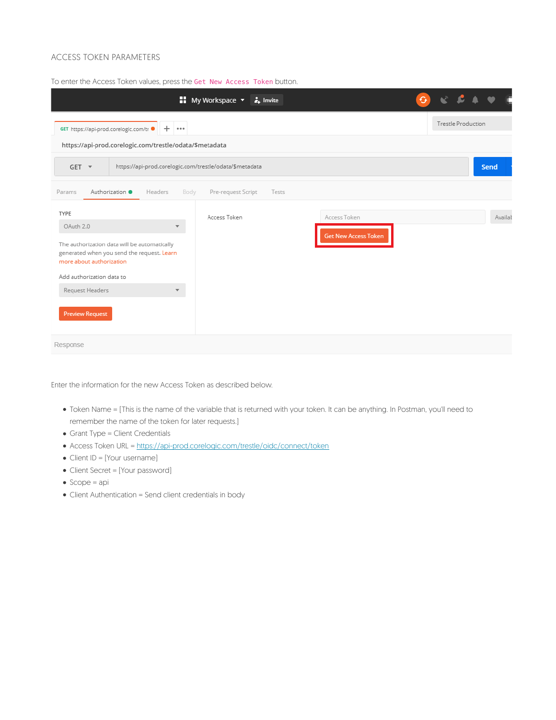#### ACCESS TOKEN PARAMETERS

|                                                                                                                                                                                              | $\blacksquare$ My Workspace $\blacktriangledown$<br>$\frac{1}{2}$ . Invite |                             | ⊖                         |
|----------------------------------------------------------------------------------------------------------------------------------------------------------------------------------------------|----------------------------------------------------------------------------|-----------------------------|---------------------------|
| $+$<br>GET https://api-prod.corelogic.com/tr<br>0.0.0                                                                                                                                        |                                                                            |                             | <b>Trestle Production</b> |
| https://api-prod.corelogic.com/trestle/odata/\$metadata                                                                                                                                      |                                                                            |                             |                           |
| https://api-prod.corelogic.com/trestle/odata/\$metadata<br>$GET$ $*$                                                                                                                         |                                                                            |                             | <b>Send</b>               |
| Authorization <sup>@</sup><br>Body<br>Params<br>Headers                                                                                                                                      | Pre-request Script<br>Tests                                                |                             |                           |
| TYPE                                                                                                                                                                                         | Access Token                                                               | Access Token                | Availab                   |
| OAuth 2.0<br>$\overline{\phantom{a}}$<br>The authorization data will be automatically<br>generated when you send the request. Learn<br>more about authorization<br>Add authorization data to |                                                                            | <b>Get New Access Token</b> |                           |
| Request Headers<br><b>Preview Request</b>                                                                                                                                                    |                                                                            |                             |                           |
| Response                                                                                                                                                                                     |                                                                            |                             |                           |

To enter the Access Token values, press the Get New Access Token button.

Enter the information for the new Access Token as described below.

- Token Name = [This is the name of the variable that is returned with your token. It can be anything. In Postman, you'll need to remember the name of the token for later requests.]
- Grant Type = Client Credentials
- Access Token URL = https://api-prod.corelogic.com/trestle/oidc/connect/token
- Client ID = [Your username]
- Client Secret = [Your password]
- $\bullet$  Scope = api
- Client Authentication = Send client credentials in body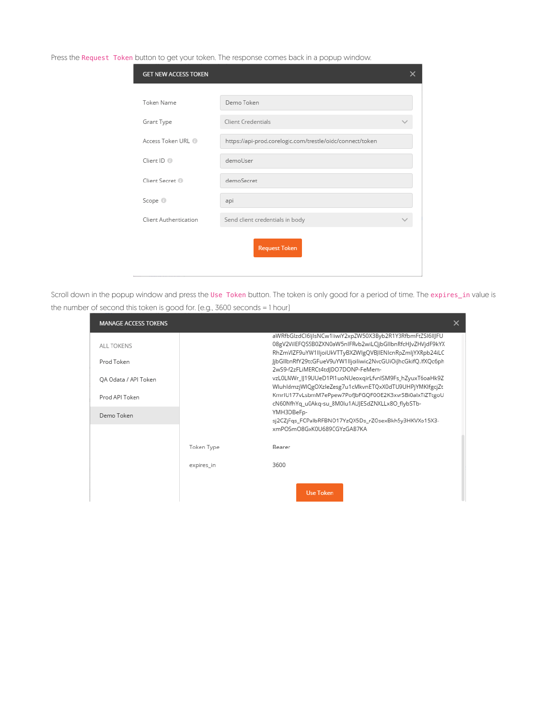Press the Request Token button to get your token. The response comes back in a popup window.

| <b>GET NEW ACCESS TOKEN</b> |                                                           | × |
|-----------------------------|-----------------------------------------------------------|---|
|                             |                                                           |   |
| Token Name                  | Demo Token                                                |   |
| Grant Type                  | Client Credentials                                        |   |
| Access Token URL            | https://api-prod.corelogic.com/trestle/oidc/connect/token |   |
| Client ID <sup>(1)</sup>    | demoUser                                                  |   |
| Client Secret (i)           | demoSecret                                                |   |
| Scope <sup>(1)</sup>        | api                                                       |   |
| Client Authentication       | Send client credentials in body                           |   |
|                             | <b>Request Token</b>                                      |   |

Scroll down in the popup window and press the Use Token button. The token is only good for a period of time. The expires\_in value is the number of second this token is good for. (e.g., 3600 seconds = 1 hour)

| <b>MANAGE ACCESS TOKENS</b> |            |                                                                                                                                                                                    | × |
|-----------------------------|------------|------------------------------------------------------------------------------------------------------------------------------------------------------------------------------------|---|
| ALL TOKENS                  |            | aWRfbGlzdCl6ljIsNCw1liwiY2xpZW50X3Byb2R1Y3RfbmFtZSl6llJFU<br>08gV2ViIEFQSSB0ZXN0aW5nIFRvb2wiLCJjbGIIbnRfcHJvZHVjdF9kYX<br>RhZmVIZF9uYW1IIjoiUkVTTyBXZWIgQVBJIENIcnRpZmIjYXRpb24iLC |   |
| Prod Token                  |            | JibGllbnRfY29tcGFueV9uYW1lljoiliwic2NvcGUiOiJhcGkifQ.IfXQc6ph<br>2wS9-f2zFLiMERCt4tdJDO7DONP-FeMem-                                                                                |   |
| OA Odata / API Token        |            | vzL0LNWr_IJ19UUeD1PI1uoNUeoxgirLfvnISM9Fs_hZyuxT6oaHk9Z<br>WluhldmzjWlQgOXzleZesg7u1cMkvnETQxX0dTU9UHPjYMKlfgcjZt                                                                  |   |
| Prod API Token              |            | KmrlU177vLsbmM7ePpew7PofJbFGQF0OE2K3xvrSBi0alxTiZTtgoU<br>cN60NfhYq_u0Akq-su_8M0Iu1AUJESdZNXLLx8O_flybSTb-                                                                         |   |
| Demo Token                  |            | YMH3DBeFp-<br>sj2CZjFqs_FCPalbRFBNO17YzQX5Ds_rZOsexBkh5y3HKVXo15X3-                                                                                                                |   |
|                             |            | xmPOSmO8GxK0U689CGYzGAB7KA                                                                                                                                                         |   |
|                             | Token Type | Bearer                                                                                                                                                                             |   |
|                             | expires in | 3600                                                                                                                                                                               |   |
|                             |            | <b>Use Token</b>                                                                                                                                                                   |   |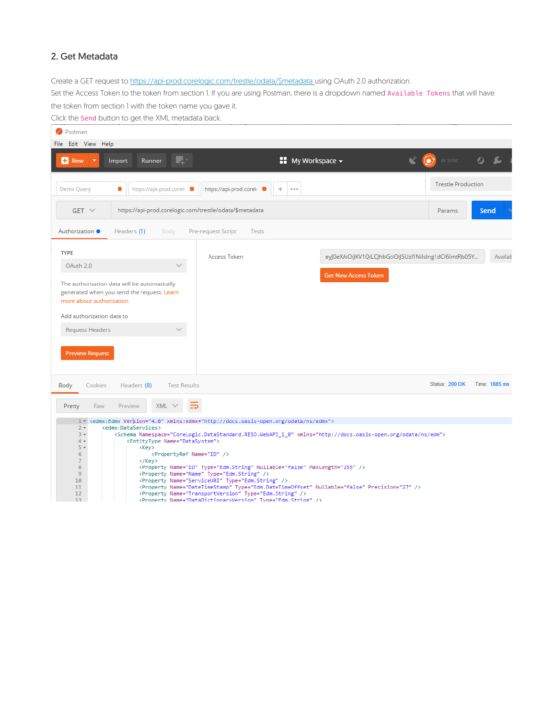#### 2. Get Metadata

Create a GET request to https://api-prod.corelogic.com/trestle/odata/\$metadata using OAuth 2.0 authorization.

Set the Access Token to the token from section 1. If you are using Postman, there is a dropdown named Available Tokens that will have the token from section 1 with the token name you gave it.

Click the Send button to get the XML metadata back.

| <b>Postman</b>                                                                                                                                                                                                                                                                                                                                                                                                                                                                                                                                                                                                                                                                                                                                                                                                                                                                                                                                                                                                                                            |                                                            |                                                                                     |                              |                |
|-----------------------------------------------------------------------------------------------------------------------------------------------------------------------------------------------------------------------------------------------------------------------------------------------------------------------------------------------------------------------------------------------------------------------------------------------------------------------------------------------------------------------------------------------------------------------------------------------------------------------------------------------------------------------------------------------------------------------------------------------------------------------------------------------------------------------------------------------------------------------------------------------------------------------------------------------------------------------------------------------------------------------------------------------------------|------------------------------------------------------------|-------------------------------------------------------------------------------------|------------------------------|----------------|
| File Edit View Help                                                                                                                                                                                                                                                                                                                                                                                                                                                                                                                                                                                                                                                                                                                                                                                                                                                                                                                                                                                                                                       |                                                            |                                                                                     |                              |                |
| П,<br><b>C</b> New<br><b>Import</b><br>Runner                                                                                                                                                                                                                                                                                                                                                                                                                                                                                                                                                                                                                                                                                                                                                                                                                                                                                                                                                                                                             | $\blacksquare$ My Workspace $\blacktriangleright$          |                                                                                     | IN SYNC                      | 0 <sub>0</sub> |
| https://api-prod.corel<br>Demo Query                                                                                                                                                                                                                                                                                                                                                                                                                                                                                                                                                                                                                                                                                                                                                                                                                                                                                                                                                                                                                      | https://api-prod.corel@<br>÷<br>$\alpha$ $\alpha$ $\alpha$ |                                                                                     | <b>Trestle Production</b>    |                |
| https://api-prod.corelogic.com/trestle/odata/\$metadata<br>$GET \vee$                                                                                                                                                                                                                                                                                                                                                                                                                                                                                                                                                                                                                                                                                                                                                                                                                                                                                                                                                                                     |                                                            |                                                                                     | Params                       | <b>Send</b>    |
| Authorization ·<br>Headers (1)<br>Body                                                                                                                                                                                                                                                                                                                                                                                                                                                                                                                                                                                                                                                                                                                                                                                                                                                                                                                                                                                                                    | Pre-request Script<br>Tests                                |                                                                                     |                              |                |
| TYPE<br>$\checkmark$<br>OAuth 2.0<br>The authorization data will be automatically<br>generated when you send the request. Learn<br>more about authorization<br>Add authorization data to<br>Request Headers<br><b>Preview Request</b>                                                                                                                                                                                                                                                                                                                                                                                                                                                                                                                                                                                                                                                                                                                                                                                                                     | Access Token                                               | eyJ0eXAiOiJKV1QiLCJhbGciOiJSUzI1NilsIng1dCl6ImtRb05Y<br><b>Get New Access Token</b> |                              | Availab        |
| Cookies<br>Headers (8)<br><b>Test Results</b><br>Body                                                                                                                                                                                                                                                                                                                                                                                                                                                                                                                                                                                                                                                                                                                                                                                                                                                                                                                                                                                                     |                                                            |                                                                                     | Status: 200 OK Time: 1885 ms |                |
| XML V<br>Pretty<br>Raw<br>Preview                                                                                                                                                                                                                                                                                                                                                                                                                                                                                                                                                                                                                                                                                                                                                                                                                                                                                                                                                                                                                         |                                                            |                                                                                     |                              |                |
| 1 - <edmx:edmx version="4.0" xmlns:edmx="http://docs.oasis-open.org/odata/ns/edmx"><br/><math>2 -</math><br/><edmx:dataservices><br/><math>3 -</math><br/><schema namespace="CoreLogic.DataStandard.RESO.WebAPI_1_0" xmlns="http://docs.oasis-open.org/odata/ns/edm"><br/><math>4 -</math><br/><entitytype name="DataSystem"><br/><math>5 -</math><br/><key><br/>6<br/><propertyref name="ID"></propertyref><br/><math>\overline{7}</math><br/></key><br/><math display="inline">\rm ^8</math><br/><property maxlength="255" name="ID" nullable="false" type="Edm.String"></property><br/><property name="Name" type="Edm.String"></property><br/>9<br/>10<br/><property name="ServiceURI" type="Edm.String"></property><br/><property name="DateTimeStamp" nullable="false" precision="27" type="Edm.DateTimeOffset"></property><br/>11<br/>12<br/><property name="TransportVersion" type="Edm.String"></property><br/><property name="DataDictionaryVersion" type="Edm.String"></property><br/>13</entitytype></schema></edmx:dataservices></edmx:edmx> |                                                            |                                                                                     |                              |                |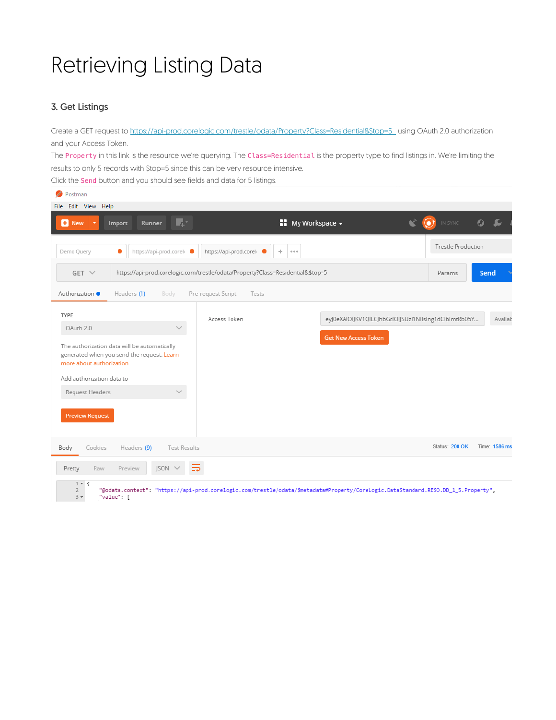# Retrieving Listing Data

#### 3. Get Listings

Create a GET request to https://api-prod.corelogic.com/trestle/odata/Property?Class=Residential&\$top=5 using OAuth 2.0 authorization and your Access Token.

The Property in this link is the resource we're querying. The Class=Residential is the property type to find listings in. We're limiting the results to only 5 records with \$top=5 since this can be very resource intensive.

Click the Send button and you should see fields and data for 5 listings.

| <b>Postman</b>                                                                                                                                                                                                                                                                                       |                                                                 |
|------------------------------------------------------------------------------------------------------------------------------------------------------------------------------------------------------------------------------------------------------------------------------------------------------|-----------------------------------------------------------------|
| File Edit View Help                                                                                                                                                                                                                                                                                  |                                                                 |
| Пŗ<br>$\blacksquare$ My Workspace $\blacktriangledown$<br><b>D</b> New<br>Runner<br>Import                                                                                                                                                                                                           | $\Omega$<br>IN SYNC                                             |
| https://api-prod.coreli<br>Demo Query<br>https://api-prod.corel<br>0<br>$\rightarrow$<br>0.0.0                                                                                                                                                                                                       | <b>Trestle Production</b>                                       |
| https://api-prod.corelogic.com/trestle/odata/Property?Class=Residential&\$top=5<br>$GET \vee$                                                                                                                                                                                                        | <b>Send</b><br>Params                                           |
| Authorization ·<br>Headers (1)<br>Pre-request Script<br>Body<br>Tests                                                                                                                                                                                                                                |                                                                 |
| TYPE<br>Access Token<br>OAuth 2.0<br>$\checkmark$<br><b>Get New Access Token</b><br>The authorization data will be automatically<br>generated when you send the request. Learn<br>more about authorization<br>Add authorization data to<br>Request Headers<br>$\checkmark$<br><b>Preview Request</b> | eyJ0eXAiOiJKV1QiLCJhbGciOiJSUzI1NilsIng1dCl6ImtRb05Y<br>Availab |
| <b>Test Results</b><br>Cookies<br>Headers (9)<br>Body                                                                                                                                                                                                                                                | Status: 200 OK<br>Time: 1586 ms                                 |
| $ISON \vee$<br>Raw<br>Preview<br>Pretty                                                                                                                                                                                                                                                              |                                                                 |
| $1 - \{$<br>"@odata.context": "https://api-prod.corelogic.com/trestle/odata/\$metadata#Property/CoreLogic.DataStandard.RESO.DD_1_5.Property",<br>$\overline{2}$<br>$3 -$<br>"value": [                                                                                                               |                                                                 |